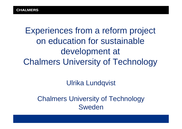Experiences from a reform project on education for sustainable development at Chalmers University of Technology

Ulrika Lundqvist

Chalmers University of Technology Sweden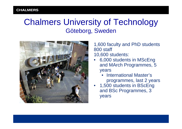#### Chalmers University of Technology Göteborg, Sweden



1,600 faculty and PhD students 800 staff 10,600 students:

#### • 6,000 students in MScEng and MArch Programmes, 5 years

- International Master's programmes, last 2 years
- 1,500 students in BScEng and BSc Programmes, 3 years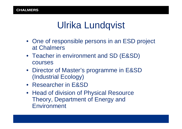### Ulrika Lundqvist

- One of responsible persons in an ESD project at Chalmers
- Teacher in environment and SD (E&SD) courses
- Director of Master's programme in E&SD (Industrial Ecology)
- Researcher in E&SD
- Head of division of Physical Resource Theory, Department of Energy and Environment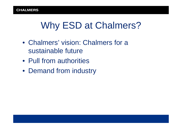### Why ESD at Chalmers?

- Chalmers' vision: Chalmers for a sustainable future
- Pull from authorities
- Demand from industry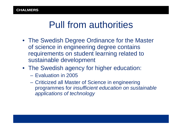### Pull from authorities

- The Swedish Degree Ordinance for the Master of science in engineering degree contains requirements on student learning related to sustainable development
- The Swedish agency for higher education:
	- Evaluation in 2005
	- Criticized all Master of Science in engineering programmes for *insufficient education on sustainable applications of technology*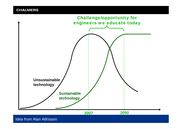**CHALMERS** 



Idea from Alan AtKisson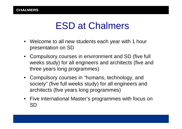### ESD at Chalmers

- Welcome to all new students each year with 1 hour presentation on SD
- Compulsory courses in environment and SD (five full weeks study) for all engineers and architects (five and three years long programmes)
- Compulsory courses in "humans, technology, and society" (five full weeks study) for all engineers and architects (five years long programmes)
- Five international Master's programmes with focus on SD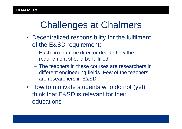### Challenges at Chalmers

- Decentralized responsibility for the fulfilment of the E&SD requirement:
	- Each programme director decide how the requirement should be fulfilled
	- The teachers in these courses are researchers in different engineering fields. Few of the teachers are researchers in E&SD.
- How to motivate students who do not (yet) think that E&SD is relevant for their educations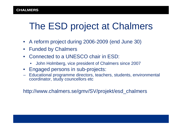# The ESD project at Chalmers

- A reform project during 2006-2009 (end June 30)
- Funded by Chalmers
- Connected to a UNESCO chair in ESD:
	- John Holmberg, vice president of Chalmers since 2007
- Engaged persons in sub-projects:
- Educational programme directors, teachers, students, environmental coordinator, study councellors etc

http://www.chalmers.se/gmv/SV/projekt/esd\_chalmers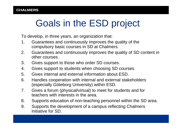# Goals in the ESD project

To develop, in three years, an organization that:

- 1. Guarantees and continuously improves the quality of the compulsory basic courses in SD at Chalmers.
- 2. Guarantees and continuously improves the quality of SD content in other courses.
- 3. Gives support to those who order SD courses.
- 4. Gives support to students when choosing SD courses.
- 5. Gives internal and external information about ESD.
- 6. Handles cooperation with internal and external stakeholders (especially Göteborg University) within ESD.
- 7. Gives a forum (physical/virtual) to meet for students and for teachers with interests in the area.
- 8. Supports education of non-teaching personnel within the SD area.
- 9. Supports the development of a campus reflecting Chalmers initiative for SD.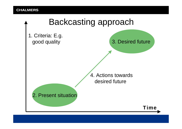### Backcasting approach

1. Criteria: E.g. good quality

3. Desired future

4. Actions towards desired future

2. Present situation

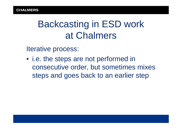### Backcasting in ESD work at Chalmers

Iterative process:

• i.e. the steps are not performed in consecutive order, but sometimes mixes steps and goes back to an earlier step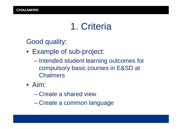### 1. Criteria

Good quality:

- Example of sub-project:
	- Intended student learning outcomes for compulsory basic courses in E&SD at Chalmers
- Aim:
	- Create a shared view
	- Create a common language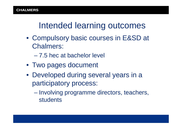#### Intended learning outcomes

- Compulsory basic courses in E&SD at Chalmers:
	- 7.5 hec at bachelor level
- Two pages document
- Developed during several years in a participatory process:
	- Involving programme directors, teachers, students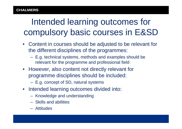### Intended learning outcomes for compulsory basic courses in E&SD

- Content in courses should be adjusted to be relevant for the different disciplines of the programmes:
	- E.g. technical systems, methods and examples should be relevant for the programme and professional field
- However, also content not directly relevant for programme disciplines should be included:
	- E.g. concept of SD, natural systems
- Intended learning outcomes divided into:
	- Knowledge and understanding
	- Skills and abilities
	- Attitudes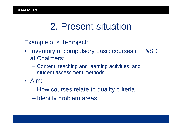### 2. Present situation

Example of sub-project:

- Inventory of compulsory basic courses in E&SD at Chalmers:
	- Content, teaching and learning activities, and student assessment methods
- Aim:
	- How courses relate to quality criteria
	- Identify problem areas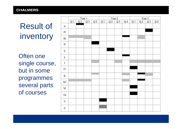Result of inventory

Often one single course, but in some programmes several parts of courses

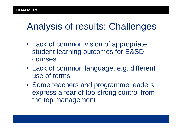### Analysis of results: Challenges

- Lack of common vision of appropriate student learning outcomes for E&SD courses
- Lack of common language, e.g. different use of terms
- Some teachers and programme leaders express a fear of too strong control from the top management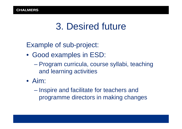### 3. Desired future

Example of sub-project:

- Good examples in ESD:
	- Program curricula, course syllabi, teaching and learning activities
- Aim:
	- Inspire and facilitate for teachers and programme directors in making changes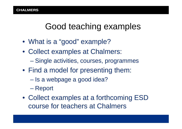### Good teaching examples

- What is a "good" example?
- Collect examples at Chalmers: – Single activities, courses, programmes
- Find a model for presenting them:
	- Is a webpage a good idea?
	- Report
- Collect examples at a forthcoming ESD course for teachers at Chalmers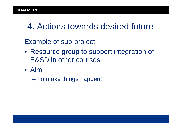### 4. Actions towards desired future

Example of sub-project:

- Resource group to support integration of E&SD in other courses
- Aim:
	- To make things happen!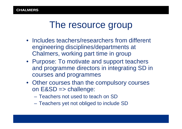### The resource group

- Includes teachers/researchers from different engineering disciplines/departments at Chalmers, working part time in group
- Purpose: To motivate and support teachers and programme directors in integrating SD in courses and programmes
- Other courses than the compulsory courses on E&SD => challenge:
	- Teachers not used to teach on SD
	- Teachers yet not obliged to include SD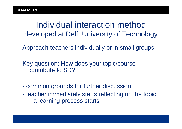Individual interaction method developed at Delft University of Technology

Approach teachers individually or in small groups

Key question: How does your topic/course contribute to SD?

- common grounds for further discussion
- teacher immediately starts reflecting on the topic – a learning process starts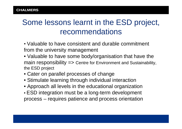#### Some lessons learnt in the ESD project, recommendations

- Valuable to have consistent and durable commitment from the university management
- Valuable to have some body/organisation that have the main responsibility => Centre for Environment and Sustainability, the ESD project
- Cater on parallel processes of change
- Stimulate learning through individual interaction
- Approach all levels in the educational organization
- ESD integration must be a long-term development process – requires patience and process orientation